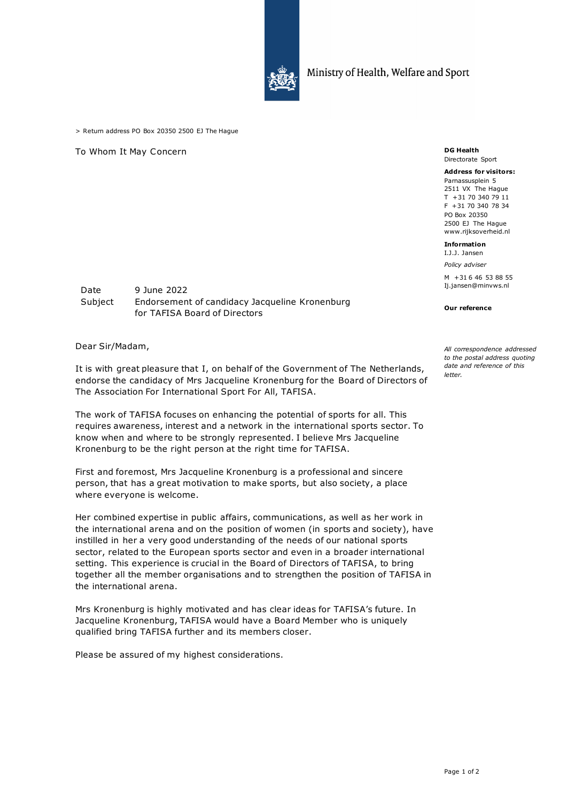

> Return address PO Box 20350 2500 EJ The Hague

To Whom It May Concern **DG Health** 

## Directorate Sport

**Address for visitors:** Parnassusplein 5 2511 VX The Hague T +31 70 340 79 11 F +31 70 340 78 34 PO Box 20350 2500 EJ The Hague www.rijksoverheid.nl

## **Information**

I.J.J. Jansen *Policy adviser*

M +31 6 46 53 88 55 Ij.jansen@minvws.nl

## **Our reference**

*All correspondence addressed to the postal address quoting date and reference of this letter.*

| Date    | 9 June 2022                                    |
|---------|------------------------------------------------|
| Subject | Endorsement of candidacy Jacqueline Kronenburg |
|         | for TAFISA Board of Directors                  |

Dear Sir/Madam,

It is with great pleasure that I, on behalf of the Government of The Netherlands, endorse the candidacy of Mrs Jacqueline Kronenburg for the Board of Directors of The Association For International Sport For All, TAFISA.

The work of TAFISA focuses on enhancing the potential of sports for all. This requires awareness, interest and a network in the international sports sector. To know when and where to be strongly represented. I believe Mrs Jacqueline Kronenburg to be the right person at the right time for TAFISA.

First and foremost, Mrs Jacqueline Kronenburg is a professional and sincere person, that has a great motivation to make sports, but also society, a place where everyone is welcome.

Her combined expertise in public affairs, communications, as well as her work in the international arena and on the position of women (in sports and society), have instilled in her a very good understanding of the needs of our national sports sector, related to the European sports sector and even in a broader international setting. This experience is crucial in the Board of Directors of TAFISA, to bring together all the member organisations and to strengthen the position of TAFISA in the international arena.

Mrs Kronenburg is highly motivated and has clear ideas for TAFISA's future. In Jacqueline Kronenburg, TAFISA would have a Board Member who is uniquely qualified bring TAFISA further and its members closer.

Please be assured of my highest considerations.